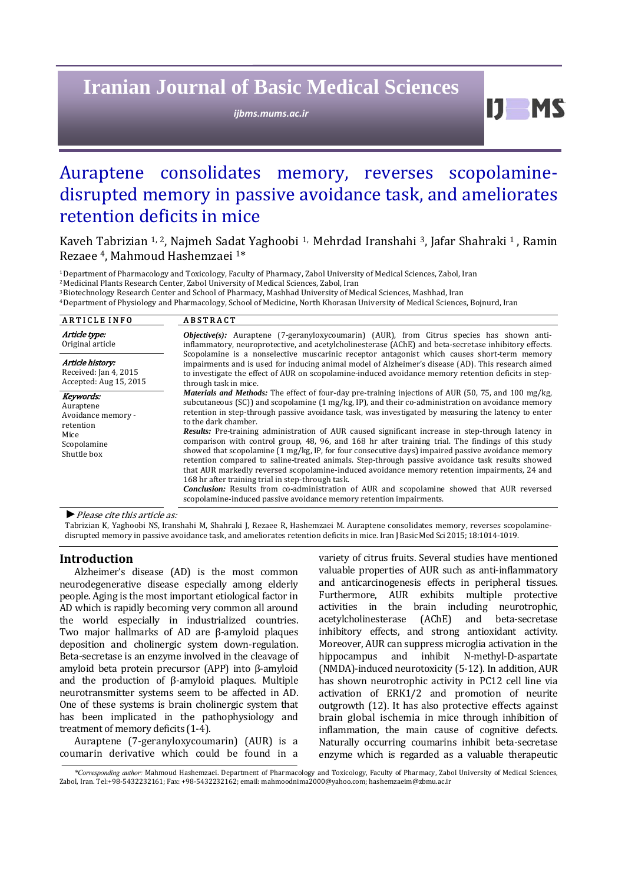# **Iranian Journal of Basic Medical Sciences**

*ijbms.mums.ac.ir*

 $11$  MS

## Auraptene consolidates memory, reverses scopolaminedisrupted memory in passive avoidance task, and ameliorates retention deficits in mice

Kaveh Tabrizian <sup>1, 2</sup>, Najmeh Sadat Yaghoobi <sup>1,</sup> Mehrdad Iranshahi <sup>3</sup>, Jafar Shahraki <sup>1</sup>, Ramin Rezaee <sup>4</sup>, Mahmoud Hashemzaei<sup>1\*</sup>

<sup>1</sup> Department of Pharmacology and Toxicology, Faculty of Pharmacy, Zabol University of Medical Sciences, Zabol, Iran

<sup>2</sup> Medicinal Plants Research Center, Zabol University of Medical Sciences, Zabol, Iran

<sup>3</sup> Biotechnology Research Center and School of Pharmacy, Mashhad University of Medical Sciences, Mashhad, Iran

4 Department of Physiology and Pharmacology, School of Medicine, North Khorasan University of Medical Sciences, Bojnurd, Iran

| <b>ARTICLE INFO</b>                                                                                                                                                                                                                                                                                                                                                                                                                                                                        | <b>ABSTRACT</b>                                                                                                                                                                                                                                                                                                                                                                                                                                                                                                                                                                                                                                                                                                                                                                                                                                                                                                                                                                                                                                                                                                            |
|--------------------------------------------------------------------------------------------------------------------------------------------------------------------------------------------------------------------------------------------------------------------------------------------------------------------------------------------------------------------------------------------------------------------------------------------------------------------------------------------|----------------------------------------------------------------------------------------------------------------------------------------------------------------------------------------------------------------------------------------------------------------------------------------------------------------------------------------------------------------------------------------------------------------------------------------------------------------------------------------------------------------------------------------------------------------------------------------------------------------------------------------------------------------------------------------------------------------------------------------------------------------------------------------------------------------------------------------------------------------------------------------------------------------------------------------------------------------------------------------------------------------------------------------------------------------------------------------------------------------------------|
| Article type:<br>Original article                                                                                                                                                                                                                                                                                                                                                                                                                                                          | $Objective(s)$ : Auraptene (7-geranyloxycoumarin) (AUR), from Citrus species has shown anti-<br>inflammatory, neuroprotective, and acetylcholinesterase (AChE) and beta-secretase inhibitory effects.<br>Scopolamine is a nonselective muscarinic receptor antagonist which causes short-term memory<br>impairments and is used for inducing animal model of Alzheimer's disease (AD). This research aimed<br>to investigate the effect of AUR on scopolamine-induced avoidance memory retention deficits in step-<br>through task in mice.                                                                                                                                                                                                                                                                                                                                                                                                                                                                                                                                                                                |
| Article history:<br>Received: Jan 4, 2015<br>Accepted: Aug 15, 2015                                                                                                                                                                                                                                                                                                                                                                                                                        |                                                                                                                                                                                                                                                                                                                                                                                                                                                                                                                                                                                                                                                                                                                                                                                                                                                                                                                                                                                                                                                                                                                            |
| Keywords:<br>Auraptene<br>Avoidance memory -<br>retention<br>Mice<br>Scopolamine<br>Shuttle box                                                                                                                                                                                                                                                                                                                                                                                            | <i>Materials and Methods:</i> The effect of four-day pre-training injections of AUR (50, 75, and 100 mg/kg,<br>subcutaneous (SC)) and scopolamine $(1 \text{ mg/kg}, IP)$ , and their co-administration on avoidance memory<br>retention in step-through passive avoidance task, was investigated by measuring the latency to enter<br>to the dark chamber.<br><b>Results:</b> Pre-training administration of AUR caused significant increase in step-through latency in<br>comparison with control group, 48, 96, and 168 hr after training trial. The findings of this study<br>showed that scopolamine (1 mg/kg, IP, for four consecutive days) impaired passive avoidance memory<br>retention compared to saline-treated animals. Step-through passive avoidance task results showed<br>that AUR markedly reversed scopolamine-induced avoidance memory retention impairments, 24 and<br>168 hr after training trial in step-through task.<br><b>Conclusion:</b> Results from co-administration of AUR and scopolamine showed that AUR reversed<br>scopolamine-induced passive avoidance memory retention impairments. |
| $\blacksquare$ $\blacksquare$ $\blacksquare$ $\blacksquare$ $\blacksquare$ $\blacksquare$ $\blacksquare$ $\blacksquare$ $\blacksquare$ $\blacksquare$ $\blacksquare$ $\blacksquare$ $\blacksquare$ $\blacksquare$ $\blacksquare$ $\blacksquare$ $\blacksquare$ $\blacksquare$ $\blacksquare$ $\blacksquare$ $\blacksquare$ $\blacksquare$ $\blacksquare$ $\blacksquare$ $\blacksquare$ $\blacksquare$ $\blacksquare$ $\blacksquare$ $\blacksquare$ $\blacksquare$ $\blacksquare$ $\blacks$ |                                                                                                                                                                                                                                                                                                                                                                                                                                                                                                                                                                                                                                                                                                                                                                                                                                                                                                                                                                                                                                                                                                                            |

*►*Please cite this article as: 

Tabrizian K, Yaghoobi NS, Iranshahi M, Shahraki J, Rezaee R, Hashemzaei M. Auraptene consolidates memory, reverses scopolaminedisrupted memory in passive avoidance task, and ameliorates retention deficits in mice. Iran J Basic Med Sci 2015; 18:1014-1019.

## **Introduction**

Alzheimer's disease (AD) is the most common neurodegenerative disease especially among elderly people. Aging is the most important etiological factor in AD which is rapidly becoming very common all around the world especially in industrialized countries. Two major hallmarks of AD are  $\beta$ -amyloid plaques deposition and cholinergic system down-regulation. Beta-secretase is an enzyme involved in the cleavage of amyloid beta protein precursor  $(APP)$  into  $\beta$ -amyloid and the production of  $\beta$ -amyloid plaques. Multiple neurotransmitter systems seem to be affected in AD. One of these systems is brain cholinergic system that has been implicated in the pathophysiology and treatment of memory deficits (1-4).

Auraptene (7-geranyloxycoumarin) (AUR) is a coumarin derivative which could be found in a variety of citrus fruits. Several studies have mentioned valuable properties of AUR such as anti-inflammatory and anticarcinogenesis effects in peripheral tissues. Furthermore, AUR exhibits multiple protective activities in the brain including neurotrophic, acetylcholinesterase (AChE) and beta-secretase inhibitory effects, and strong antioxidant activity. Moreover, AUR can suppress microglia activation in the hippocampus and inhibit N-methyl-D-aspartate (NMDA)-induced neurotoxicity (5-12). In addition, AUR has shown neurotrophic activity in PC12 cell line via activation of ERK1/2 and promotion of neurite outgrowth (12). It has also protective effects against brain global ischemia in mice through inhibition of inflammation, the main cause of cognitive defects. Naturally occurring coumarins inhibit beta-secretase enzyme which is regarded as a valuable therapeutic

*<sup>\*</sup>Corresponding author:* Mahmoud Hashemzaei. Department of Pharmacology and Toxicology, Faculty of Pharmacy, Zabol University of Medical Sciences, Zabol, Iran. Tel:+98-5432232161; Fax: +98-5432232162; email: mahmoodnima2000@yahoo.com; hashemzaeim@zbmu.ac.ir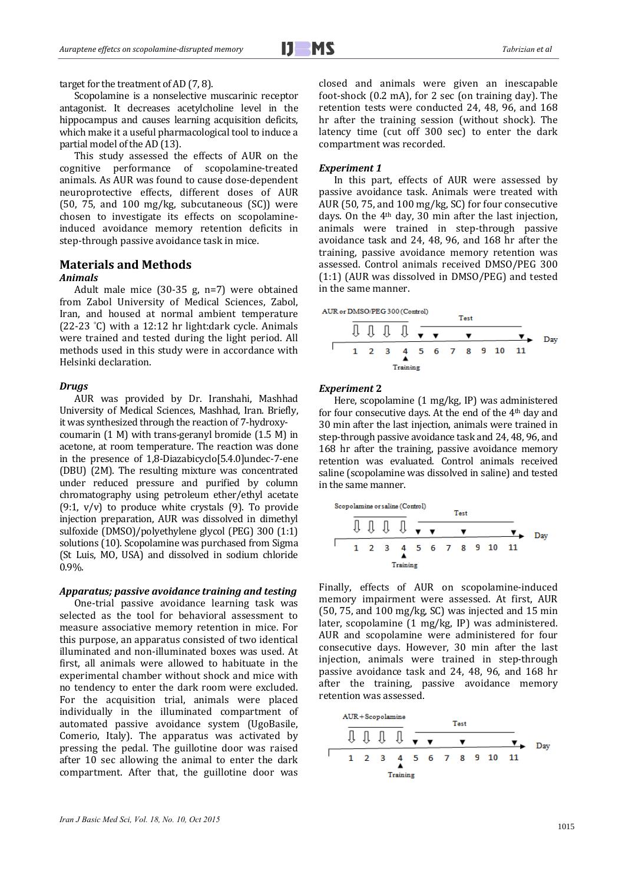#### target for the treatment of AD  $(7, 8)$ .

Scopolamine is a nonselective muscarinic receptor antagonist. It decreases acetylcholine level in the hippocampus and causes learning acquisition deficits, which make it a useful pharmacological tool to induce a partial model of the AD (13).

This study assessed the effects of AUR on the cognitive performance of scopolamine‐treated animals. As AUR was found to cause dose-dependent neuroprotective effects, different doses of AUR (50,  $75$ , and  $100$  mg/kg, subcutaneous (SC)) were chosen to investigate its effects on scopolamineinduced avoidance memory retention deficits in step-through passive avoidance task in mice.

## **Materials and Methods**

## *Animals*

Adult male mice  $(30-35 \text{ g}, \text{n=7})$  were obtained from Zabol University of Medical Sciences, Zabol, Iran, and housed at normal ambient temperature  $(22-23 \text{ } ^{\circ}C)$  with a 12:12 hr light:dark cycle. Animals were trained and tested during the light period. All methods used in this study were in accordance with Helsinki declaration.

## *Drugs*

AUR was provided by Dr. Iranshahi, Mashhad University of Medical Sciences, Mashhad, Iran. Briefly, it was synthesized through the reaction of 7-hydroxycoumarin  $(1 M)$  with trans-geranyl bromide  $(1.5 M)$  in acetone, at room temperature. The reaction was done in the presence of 1,8-Diazabicyclo[5.4.0]undec-7-ene (DBU) (2M). The resulting mixture was concentrated under reduced pressure and purified by column chromatography using petroleum ether/ethyl acetate  $(9:1, v/v)$  to produce white crystals  $(9)$ . To provide injection preparation, AUR was dissolved in dimethyl sulfoxide (DMSO)/polyethylene glycol (PEG) 300 (1:1) solutions (10). Scopolamine was purchased from Sigma (St Luis, MO, USA) and dissolved in sodium chloride 0.9%. 

## *Apparatus; passive avoidance training and testing*

One-trial passive avoidance learning task was selected as the tool for behavioral assessment to measure associative memory retention in mice. For this purpose, an apparatus consisted of two identical illuminated and non-illuminated boxes was used. At first, all animals were allowed to habituate in the experimental chamber without shock and mice with no tendency to enter the dark room were excluded. For the acquisition trial, animals were placed individually in the illuminated compartment of automated passive avoidance system (UgoBasile, Comerio, Italy). The apparatus was activated by pressing the pedal. The guillotine door was raised after 10 sec allowing the animal to enter the dark compartment. After that, the guillotine door was closed and animals were given an inescapable foot-shock  $(0.2 \text{ mA})$ , for 2 sec (on training day). The retention tests were conducted 24, 48, 96, and 168 hr after the training session (without shock). The latency time (cut off 300 sec) to enter the dark compartment was recorded.

#### *Experiment 1*

In this part, effects of AUR were assessed by passive avoidance task. Animals were treated with AUR (50, 75, and 100 mg/kg, SC) for four consecutive days. On the 4<sup>th</sup> day, 30 min after the last injection, animals were trained in step‐through passive avoidance task and 24, 48, 96, and 168 hr after the training, passive avoidance memory retention was assessed. Control animals received DMSO/PEG 300  $(1:1)$  (AUR was dissolved in DMSO/PEG) and tested in the same manner.



#### *Experiment* **2**

Here, scopolamine (1 mg/kg, IP) was administered for four consecutive days. At the end of the  $4<sup>th</sup>$  day and 30 min after the last injection, animals were trained in step-through passive avoidance task and 24, 48, 96, and 168 hr after the training, passive avoidance memory retention was evaluated. Control animals received saline (scopolamine was dissolved in saline) and tested in the same manner.

Finally, effects of AUR on scopolamine-induced memory impairment were assessed. At first, AUR (50, 75, and  $100 \text{ mg/kg}$ , SC) was injected and 15 min later, scopolamine  $(1 \text{ mg/kg}, \text{ IP})$  was administered. AUR and scopolamine were administered for four consecutive days. However, 30 min after the last injection, animals were trained in step-through passive avoidance task and 24, 48, 96, and 168 hr after the training, passive avoidance memory retention was assessed.

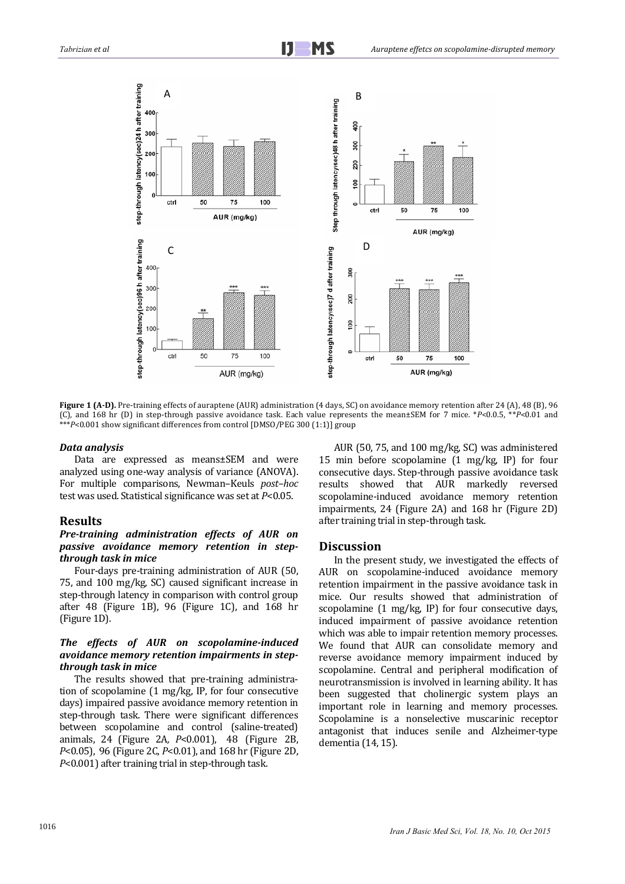

**Figure 1 (A-D).** Pre-training effects of auraptene (AUR) administration (4 days, SC) on avoidance memory retention after 24 (A), 48 (B), 96 (C), and 168 hr (D) in step-through passive avoidance task. Each value represents the mean±SEM for 7 mice. \**P*<0.05, \*\**P*<0.01 and \*\*\*P<0.001 show significant differences from control [DMSO/PEG 300 (1:1)] group

#### *Data analysis*

Data are expressed as means±SEM and were analyzed using one-way analysis of variance (ANOVA). For multiple comparisons, Newman-Keuls *post-hoc* test was used. Statistical significance was set at  $P<0.05$ .

#### **Results**

## *Pre‐training administration effects of AUR on passive avoidance memory retention in step‐ through task in mice*

Four-days pre-training administration of AUR (50, 75, and 100 mg/kg, SC) caused significant increase in step-through latency in comparison with control group after  $48$  (Figure 1B),  $96$  (Figure 1C), and  $168$  hr (Figure 1D).

## *The effects of AUR on scopolamine‐induced avoidance memory retention impairments in step‐ through task in mice*

The results showed that pre-training administration of scopolamine  $(1 \text{ mg/kg}, \text{ IP}, \text{ for four consecutive})$ days) impaired passive avoidance memory retention in step-through task. There were significant differences between scopolamine and control (saline-treated) animals, 24 (Figure 2A*, P*<0.001), 48 (Figure 2B, *P*<0.05), 96 (Figure 2C, *P*<0.01), and 168 hr (Figure 2D, *P*<0.001) after training trial in step-through task.

AUR (50, 75, and 100 mg/kg, SC) was administered 15 min before scopolamine  $(1 \text{ mg/kg}, \text{ IP})$  for four consecutive days. Step-through passive avoidance task results showed that AUR markedly reversed scopolamine-induced avoidance memory retention impairments, 24 (Figure 2A) and 168 hr (Figure 2D) after training trial in step-through task.

#### **Discussion**

In the present study, we investigated the effects of AUR on scopolamine-induced avoidance memory retention impairment in the passive avoidance task in mice. Our results showed that administration of scopolamine  $(1 \text{ mg/kg}, \text{ IP})$  for four consecutive days, induced impairment of passive avoidance retention which was able to impair retention memory processes. We found that AUR can consolidate memory and reverse avoidance memory impairment induced by scopolamine. Central and peripheral modification of neurotransmission is involved in learning ability. It has been suggested that cholinergic system plays an important role in learning and memory processes. Scopolamine is a nonselective muscarinic receptor antagonist that induces senile and Alzheimer-type dementia (14, 15).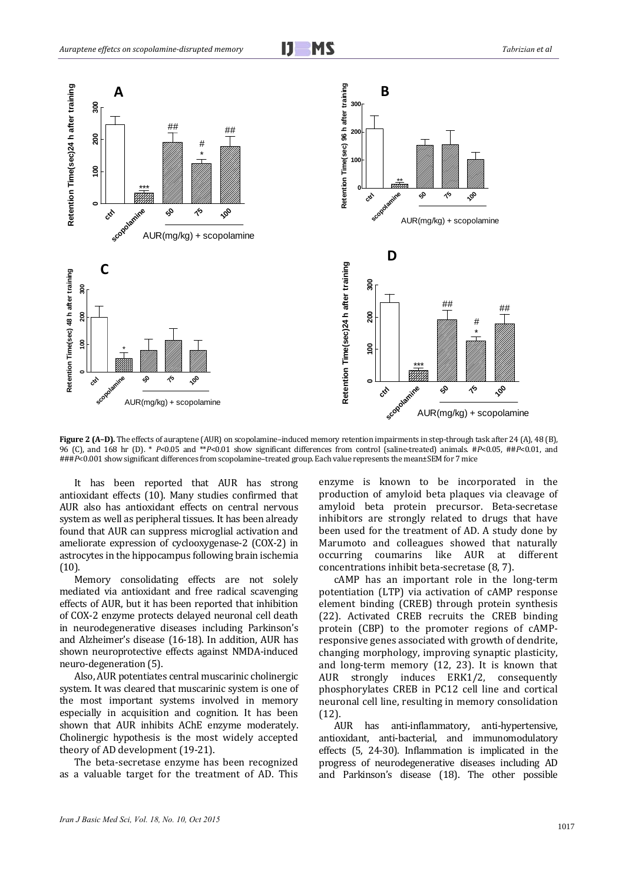

**Figure 2 (A–D).** The effects of auraptene (AUR) on scopolamine–induced memory retention impairments in step-through task after 24 (A), 48 (B), 96 (C), and 168 hr (D). \* *P*<0.05 and \*\**P*<0.01 show significant differences from control (saline-treated) animals. #*P*<0.05, ##*P*<0.01, and ###P<0.001 show significant differences from scopolamine-treated group. Each value represents the mean±SEM for 7 mice

It has been reported that AUR has strong antioxidant effects (10). Many studies confirmed that AUR also has antioxidant effects on central nervous system as well as peripheral tissues. It has been already found that AUR can suppress microglial activation and ameliorate expression of cyclooxygenase-2 (COX-2) in astrocytes in the hippocampus following brain ischemia (10). 

Memory consolidating effects are not solely mediated via antioxidant and free radical scavenging effects of AUR, but it has been reported that inhibition of COX-2 enzyme protects delayed neuronal cell death in neurodegenerative diseases including Parkinson's and Alzheimer's disease (16-18). In addition, AUR has shown neuroprotective effects against NMDA-induced neuro-degeneration (5).

Also, AUR potentiates central muscarinic cholinergic system. It was cleared that muscarinic system is one of the most important systems involved in memory especially in acquisition and cognition. It has been shown that AUR inhibits AChE enzyme moderately. Cholinergic hypothesis is the most widely accepted theory of AD development (19-21).

The beta-secretase enzyme has been recognized as a valuable target for the treatment of AD. This enzyme is known to be incorporated in the production of amyloid beta plaques via cleavage of amyloid beta protein precursor. Beta‐secretase inhibitors are strongly related to drugs that have been used for the treatment of AD. A study done by Marumoto and colleagues showed that naturally occurring coumarins like AUR at different concentrations inhibit beta-secretase (8, 7).

cAMP has an important role in the long-term potentiation (LTP) via activation of cAMP response element binding (CREB) through protein synthesis (22). Activated CREB recruits the CREB binding protein (CBP) to the promoter regions of cAMPresponsive genes associated with growth of dendrite, changing morphology, improving synaptic plasticity, and long-term memory  $(12, 23)$ . It is known that AUR strongly induces ERK1/2, consequently phosphorylates CREB in PC12 cell line and cortical neuronal cell line, resulting in memory consolidation (12). 

AUR has anti-inflammatory, anti-hypertensive, antioxidant, anti-bacterial, and immunomodulatory effects  $(5, 24-30)$ . Inflammation is implicated in the progress of neurodegenerative diseases including AD and Parkinson's disease (18). The other possible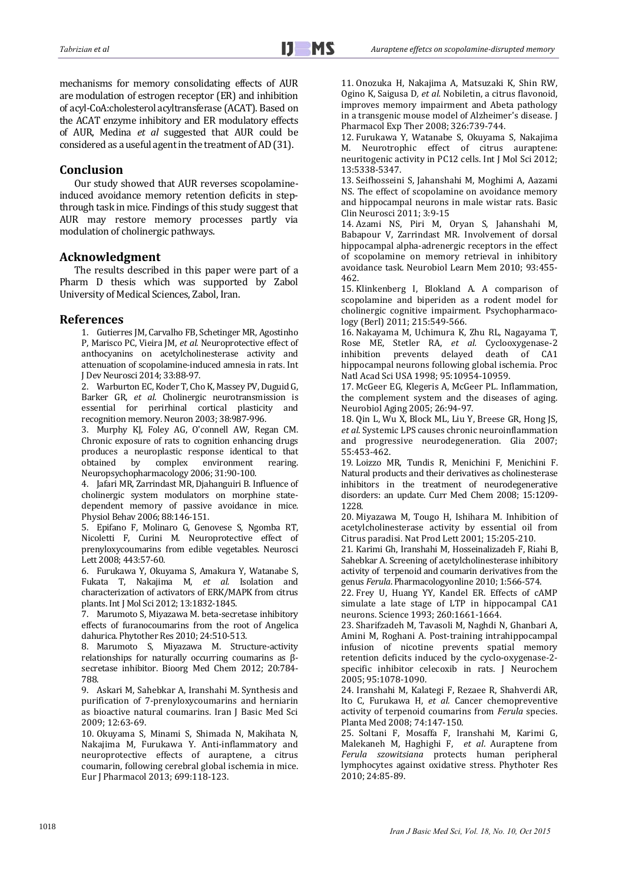mechanisms for memory consolidating effects of AUR are modulation of estrogen receptor (ER) and inhibition of acyl-CoA:cholesterol acyltransferase (ACAT). Based on the ACAT enzyme inhibitory and ER modulatory effects of AUR, Medina *et al* suggested that AUR could be considered as a useful agent in the treatment of AD (31).

#### **Conclusion**

Our study showed that AUR reverses scopolamineinduced avoidance memory retention deficits in stepthrough task in mice. Findings of this study suggest that AUR may restore memory processes partly via modulation of cholinergic pathways.

## **Acknowledgment**

The results described in this paper were part of a Pharm D thesis which was supported by Zabol University of Medical Sciences, Zabol, Iran. 

#### **References**

1. Gutierres JM, Carvalho FB, Schetinger MR, Agostinho P, Marisco PC, Vieira JM, et al. Neuroprotective effect of anthocyanins on acetylcholinesterase activity and attenuation of scopolamine-induced amnesia in rats. Int J Dev Neurosci 2014; 33:88-97.

2. Warburton EC, Koder T, Cho K, Massey PV, Duguid G, Barker GR, *et al.* Cholinergic neurotransmission is essential for perirhinal cortical plasticity and recognition memory. Neuron 2003; 38:987-996.

3. Murphy KJ, Foley AG, O'connell AW, Regan CM. Chronic exposure of rats to cognition enhancing drugs produces a neuroplastic response identical to that obtained by complex environment rearing. Neuropsychopharmacology 2006; 31:90-100.

4. Jafari MR, Zarrindast MR, Djahanguiri B. Influence of cholinergic system modulators on morphine statedependent memory of passive avoidance in mice. Physiol Behav 2006: 88:146-151.

5. Epifano F, Molinaro G, Genovese S, Ngomba RT, Nicoletti F, Curini M. Neuroprotective effect of prenyloxycoumarins from edible vegetables. Neurosci Lett 2008: 443:57-60.

6. Furukawa Y, Okuyama S, Amakura Y, Watanabe S, Fukata T, Nakajima M, et al. Isolation and characterization of activators of ERK/MAPK from citrus plants. Int J Mol Sci 2012; 13:1832-1845.

7. Marumoto S, Miyazawa M. beta-secretase inhibitory effects of furanocoumarins from the root of Angelica dahurica. Phytother Res 2010; 24:510-513.

8. Marumoto S, Miyazawa M. Structure-activity relationships for naturally occurring coumarins as  $\beta$ secretase inhibitor. Bioorg Med Chem 2012; 20:784-788. 

9. Askari M, Sahebkar A, Iranshahi M. Synthesis and purification of 7-prenyloxycoumarins and herniarin as bioactive natural coumarins. Iran J Basic Med Sci  $2009.12.63-69$ 

10. Okuyama S, Minami S, Shimada N, Makihata N, Nakajima M, Furukawa Y. Anti-inflammatory and neuroprotective effects of auraptene, a citrus coumarin, following cerebral global ischemia in mice. Eur J Pharmacol 2013; 699:118-123.

11. Onozuka H, Nakajima A, Matsuzaki K, Shin RW, Ogino K, Saigusa D, et al. Nobiletin, a citrus flavonoid, improves memory impairment and Abeta pathology in a transgenic mouse model of Alzheimer's disease. I Pharmacol Exp Ther 2008; 326:739-744.

12. Furukawa Y, Watanabe S, Okuyama S, Nakajima M. Neurotrophic effect of citrus auraptene: neuritogenic activity in PC12 cells. Int J Mol Sci 2012; 13:5338‐5347. 

13. Seifhosseini S, Jahanshahi M, Moghimi A, Aazami NS. The effect of scopolamine on avoidance memory and hippocampal neurons in male wistar rats. Basic Clin Neurosci 2011; 3:9‐15 

14. Azami NS, Piri M, Oryan S, Jahanshahi M, Babapour V, Zarrindast MR. Involvement of dorsal hippocampal alpha-adrenergic receptors in the effect of scopolamine on memory retrieval in inhibitory avoidance task. Neurobiol Learn Mem 2010; 93:455-462. 

15. Klinkenberg I, Blokland A. A comparison of scopolamine and biperiden as a rodent model for cholinergic cognitive impairment. Psychopharmacology (Berl) 2011; 215:549-566.

16. Nakayama M, Uchimura K, Zhu RL, Nagayama T, Rose ME, Stetler RA, et al. Cyclooxygenase-2 inhibition prevents delayed death of CA1 hippocampal neurons following global ischemia. Proc Natl Acad Sci USA 1998; 95:10954-10959.

17. McGeer EG, Klegeris A, McGeer PL, Inflammation, the complement system and the diseases of aging. Neurobiol Aging 2005; 26:94-97.

18. Qin L, Wu X, Block ML, Liu Y, Breese GR, Hong JS, et *al*. Systemic LPS causes chronic neuroinflammation and progressive neurodegeneration. Glia 2007; 55:453‐462. 

19. Loizzo MR, Tundis R, Menichini F, Menichini F. Natural products and their derivatives as cholinesterase inhibitors in the treatment of neurodegenerative disorders: an update. Curr Med Chem 2008; 15:1209-1228. 

20. Miyazawa M, Tougo H, Ishihara M. Inhibition of acetylcholinesterase activity by essential oil from Citrus paradisi. Nat Prod Lett 2001; 15:205-210.

21. Karimi Gh, Iranshahi M, Hosseinalizadeh F, Riahi B, Sahebkar A. Screening of acetylcholinesterase inhibitory activity of terpenoid and coumarin derivatives from the genus *Ferula*. Pharmacologyonline 2010; 1:566-574.

22. Frey U, Huang YY, Kandel ER. Effects of cAMP simulate a late stage of LTP in hippocampal CA1 neurons. Science 1993; 260:1661-1664.

23. Sharifzadeh M, Tavasoli M, Naghdi N, Ghanbari A, Amini M, Roghani A. Post-training intrahippocampal infusion of nicotine prevents spatial memory retention deficits induced by the cyclo-oxygenase-2specific inhibitor celecoxib in rats. J Neurochem 2005; 95:1078‐1090. 

24. Iranshahi M, Kalategi F, Rezaee R, Shahverdi AR, Ito C, Furukawa H, et al. Cancer chemopreventive activity of terpenoid coumarins from *Ferula* species. Planta Med 2008; 74:147‐150. 

25. Soltani F, Mosaffa F, Iranshahi M, Karimi G, Malekaneh M, Haghighi F, et al. Auraptene from *Ferula szowitsiana* protects human peripheral lymphocytes against oxidative stress. Phythoter Res 2010; 24:85‐89.